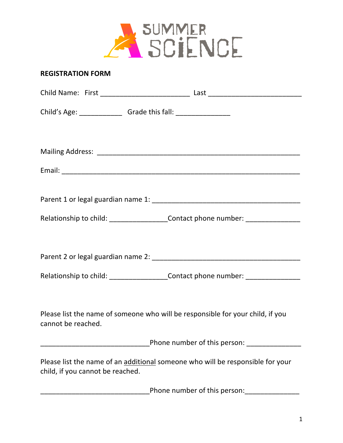

## **REGISTRATION FORM**

| Child's Age: __________________Grade this fall: ________________________________                                   |                                        |
|--------------------------------------------------------------------------------------------------------------------|----------------------------------------|
|                                                                                                                    |                                        |
|                                                                                                                    |                                        |
|                                                                                                                    |                                        |
|                                                                                                                    |                                        |
| Relationship to child: ____________________Contact phone number: _______________                                   |                                        |
|                                                                                                                    |                                        |
|                                                                                                                    |                                        |
| Relationship to child: _____________________Contact phone number: ______________                                   |                                        |
|                                                                                                                    |                                        |
| Please list the name of someone who will be responsible for your child, if you<br>cannot be reached.               |                                        |
|                                                                                                                    | Phone number of this person: _________ |
| Please list the name of an additional someone who will be responsible for your<br>child, if you cannot be reached. |                                        |
|                                                                                                                    | Phone number of this person:           |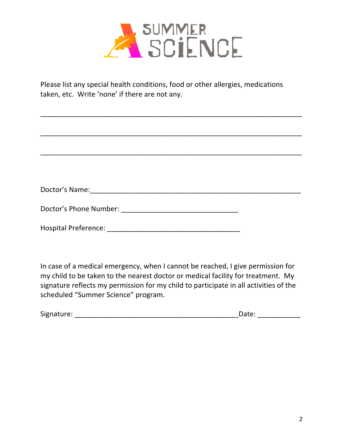

Please list any special health conditions, food or other allergies, medications taken, etc. Write 'none' if there are not any.

\_\_\_\_\_\_\_\_\_\_\_\_\_\_\_\_\_\_\_\_\_\_\_\_\_\_\_\_\_\_\_\_\_\_\_\_\_\_\_\_\_\_\_\_\_\_\_\_\_\_\_\_\_\_\_\_\_\_\_\_\_\_\_\_\_\_\_

\_\_\_\_\_\_\_\_\_\_\_\_\_\_\_\_\_\_\_\_\_\_\_\_\_\_\_\_\_\_\_\_\_\_\_\_\_\_\_\_\_\_\_\_\_\_\_\_\_\_\_\_\_\_\_\_\_\_\_\_\_\_\_\_\_\_\_

| Doctor's Phone Number: National Assembly Phone Number: |  |
|--------------------------------------------------------|--|
|                                                        |  |
| Hospital Preference: __                                |  |

In case of a medical emergency, when I cannot be reached, I give permission for my child to be taken to the nearest doctor or medical facility for treatment. My signature reflects my permission for my child to participate in all activities of the scheduled "Summer Science" program.

| Signature: | ---- |  |
|------------|------|--|
|            |      |  |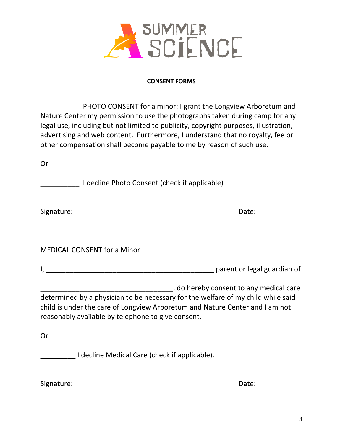

## **CONSENT FORMS**

PHOTO CONSENT for a minor: I grant the Longview Arboretum and Nature Center my permission to use the photographs taken during camp for any legal use, including but not limited to publicity, copyright purposes, illustration, advertising and web content. Furthermore, I understand that no royalty, fee or other compensation shall become payable to me by reason of such use.

| Or |                                                                                                                                                                                                                                                                                                                                          |
|----|------------------------------------------------------------------------------------------------------------------------------------------------------------------------------------------------------------------------------------------------------------------------------------------------------------------------------------------|
|    | I decline Photo Consent (check if applicable)                                                                                                                                                                                                                                                                                            |
|    | Date: the contract of the contract of the contract of the contract of the contract of the contract of the contract of the contract of the contract of the contract of the contract of the contract of the contract of the cont                                                                                                           |
|    | <b>MEDICAL CONSENT for a Minor</b>                                                                                                                                                                                                                                                                                                       |
|    |                                                                                                                                                                                                                                                                                                                                          |
|    | do hereby consent to any medical care (1997) And the summary series and the series of the summary medical care<br>determined by a physician to be necessary for the welfare of my child while said<br>child is under the care of Longview Arboretum and Nature Center and I am not<br>reasonably available by telephone to give consent. |
| Or |                                                                                                                                                                                                                                                                                                                                          |
|    | I decline Medical Care (check if applicable).                                                                                                                                                                                                                                                                                            |

Signature: \_\_\_\_\_\_\_\_\_\_\_\_\_\_\_\_\_\_\_\_\_\_\_\_\_\_\_\_\_\_\_\_\_\_\_\_\_\_\_\_\_\_Date: \_\_\_\_\_\_\_\_\_\_\_